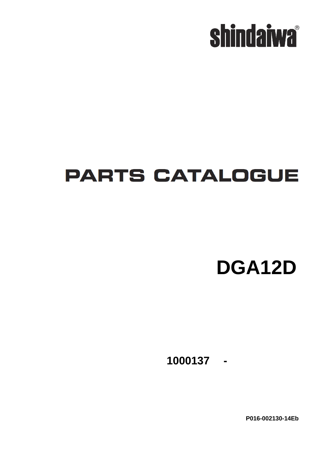

## **PARTS CATALOGUE**

**DGA12D**

**- 1000137**

**P016-002130-14Eb**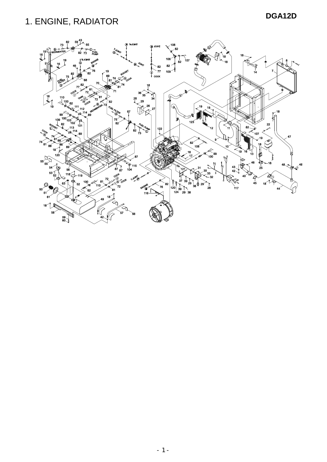### **DGA12D** 1. ENGINE, RADIATOR

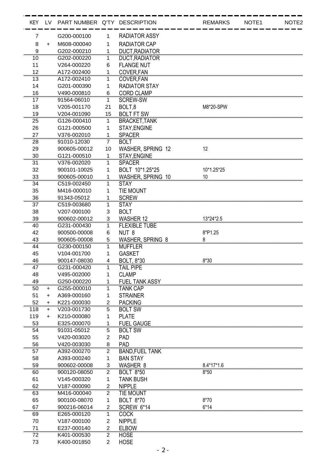| <b>KEY</b> | LV.       | PART NUMBER Q'TY DESCRIPTION |                |                         | <b>REMARKS</b> | NOTE1 | NOTE <sub>2</sub> |
|------------|-----------|------------------------------|----------------|-------------------------|----------------|-------|-------------------|
| 7          |           | G200-000100                  | 1              | <b>RADIATOR ASSY</b>    |                |       |                   |
| 8          | $\ddot{}$ | M608-000040                  | 1              | <b>RADIATOR CAP</b>     |                |       |                   |
| 9          |           | G202-000210                  | 1              | <b>DUCT.RADIATOR</b>    |                |       |                   |
| 10         |           | G202-000220                  | 1              | DUCT, RADIATOR          |                |       |                   |
| 11         |           | V264-000220                  | 6              | <b>FLANGE NUT</b>       |                |       |                   |
| 12         |           | A172-002400                  | 1              | COVER.FAN               |                |       |                   |
| 13         |           | A172-002410                  | 1              | COVER, FAN              |                |       |                   |
| 14         |           | G201-000390                  | 1              | <b>RADIATOR STAY</b>    |                |       |                   |
| 16         |           | V490-000810                  | 6              | <b>CORD CLAMP</b>       |                |       |                   |
| 17         |           | 91564-06010                  | 1              | <b>SCREW-SW</b>         |                |       |                   |
| 18         |           | V205-001170                  | 21             | BOLT,8                  | M8*20-SPW      |       |                   |
| 19         |           | V204-001090                  | 15             | <b>BOLT FT SW</b>       |                |       |                   |
| 25         |           | G126-000410                  | 1              | <b>BRACKET, TANK</b>    |                |       |                   |
| 26         |           | G121-000500                  | 1              | STAY, ENGINE            |                |       |                   |
| 27         |           | V376-002010                  | 1              | <b>SPACER</b>           |                |       |                   |
| 28         |           | 91010-12030                  | 7              | <b>BOLT</b>             |                |       |                   |
| 29         |           | 900605-00012                 | 10             | WASHER, SPRING 12       | 12             |       |                   |
| 30         |           | G121-000510                  | $\mathbf{1}$   | STAY, ENGINE            |                |       |                   |
| 31         |           | V376-002020                  | 1              | <b>SPACER</b>           |                |       |                   |
| 32         |           | 900101-10025                 | 1              | BOLT 10*1.25*25         | 10*1.25*25     |       |                   |
| 33         |           | 900605-00010                 | 1              | WASHER, SPRING 10       | 10             |       |                   |
| 34         |           | C519-002450                  | 1              | <b>STAY</b>             |                |       |                   |
| 35         |           | M416-000010                  | 1              | <b>TIE MOUNT</b>        |                |       |                   |
| 36         |           | 91343-05012                  |                | <b>SCREW</b>            |                |       |                   |
| 37         |           | C519-003680                  | 1              | <b>STAY</b>             |                |       |                   |
| 38         |           | V207-000100                  | 3              | <b>BOLT</b>             |                |       |                   |
| 39         |           | 900602-00012                 | 3              | <b>WASHER 12</b>        | 13*24*2.5      |       |                   |
| 40         |           | G231-000430                  | 1              | <b>FLEXIBLE TUBE</b>    |                |       |                   |
| 42         |           | 900500-00008                 | 6              | NUT <sub>8</sub>        | 8*P1.25        |       |                   |
| 43         |           | 900605-00008                 | 5              | <b>WASHER, SPRING 8</b> |                |       |                   |
| 44         |           | G230-000150                  | 1              | <b>MUFFLER</b>          |                |       |                   |
| 45         |           | V104-001700                  | 1              | <b>GASKET</b>           |                |       |                   |
| 46         |           | 900147-08030                 | 4              | <b>BOLT. 8*30</b>       | $8*30$         |       |                   |
| 47         |           | G231-000420                  | 1              | <b>TAIL PIPE</b>        |                |       |                   |
| 48         |           | V495-002000                  | 1              | <b>CLAMP</b>            |                |       |                   |
| 49         |           | G250-000220                  | 1              | <b>FUEL TANK ASSY</b>   |                |       |                   |
| 50         | $\ddot{}$ | G255-000010                  | 1              | <b>TANK CAP</b>         |                |       |                   |
| 51         | $\ddot{}$ | A369-000160                  | 1              | <b>STRAINER</b>         |                |       |                   |
| 52         | $\ddot{}$ | K221-000030                  | 2              | <b>PACKING</b>          |                |       |                   |
| 118        | $\pm$     | V203-001730                  | 5              | <b>BOLT SW</b>          |                |       |                   |
| 119        | $\ddot{}$ | K210-000080                  | 1              | <b>PLATE</b>            |                |       |                   |
| 53         |           | E325-000070                  | 1              | <b>FUEL GAUGE</b>       |                |       |                   |
| 54         |           | 91031-05012                  | 5              | <b>BOLT SW</b>          |                |       |                   |
| 55         |           | V420-003020                  | 2              | PAD                     |                |       |                   |
| 56         |           | V420-003030                  | 8              | PAD                     |                |       |                   |
| 57         |           | A392-000270                  | 2              | <b>BAND, FUEL TANK</b>  |                |       |                   |
| 58         |           | A393-000240                  | 1              | <b>BAN STAY</b>         |                |       |                   |
| 59         |           | 900602-00008                 | 3              | WASHER 8                | 8.4*17*1.6     |       |                   |
| 60         |           | 900120-08050                 | 2              | <b>BOLT 8*50</b>        | $8*50$         |       |                   |
| 61         |           | V145-000320                  | 1              | <b>TANK BUSH</b>        |                |       |                   |
| 62         |           | V187-000090                  | $\overline{2}$ | <b>NIPPLE</b>           |                |       |                   |
| 63         |           | M416-000040                  | $\overline{2}$ | <b>TIE MOUNT</b>        |                |       |                   |
| 65         |           | 900100-08070                 | 1              | <b>BOLT 8*70</b>        | $8*70$         |       |                   |
| 67         |           | 900216-06014                 | $\overline{2}$ | <b>SCREW 6*14</b>       | $6*14$         |       |                   |
| 69         |           | E265-000120                  | 1              | <b>COCK</b>             |                |       |                   |
| 70         |           | V187-000100                  | $\overline{2}$ | <b>NIPPLE</b>           |                |       |                   |
| 71         |           | E237-000140                  | $\overline{c}$ | <b>ELBOW</b>            |                |       |                   |
| 72         |           | K401-000530                  | $\overline{2}$ | <b>HOSE</b>             |                |       |                   |
| 73         |           | K400-001850                  | $\overline{2}$ | <b>HOSE</b>             |                |       |                   |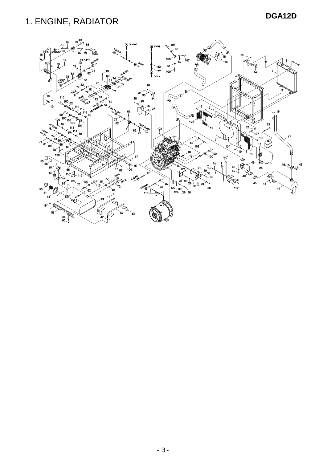### **DGA12D** 1. ENGINE, RADIATOR

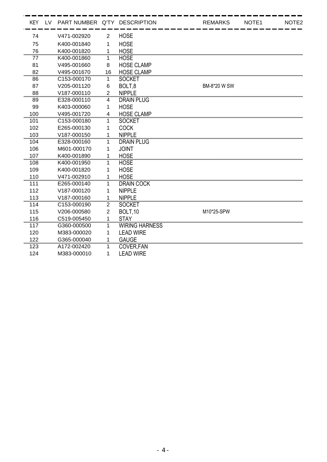| <b>KEY</b> | LV | PART NUMBER Q'TY DESCRIPTION |                  |                       | <b>REMARKS</b> | NOTE <sub>1</sub> | NOTE <sub>2</sub> |
|------------|----|------------------------------|------------------|-----------------------|----------------|-------------------|-------------------|
| 74         |    | V471-002920                  | $\overline{2}$   | <b>HOSE</b>           |                |                   |                   |
| 75         |    | K400-001840                  | 1                | <b>HOSE</b>           |                |                   |                   |
| 76         |    | K400-001820                  | 1                | <b>HOSE</b>           |                |                   |                   |
| 77         |    | K400-001860                  | 1                | <b>HOSE</b>           |                |                   |                   |
| 81         |    | V495-001660                  | 8                | <b>HOSE CLAMP</b>     |                |                   |                   |
| 82         |    | V495-001670                  | 16               | <b>HOSE CLAMP</b>     |                |                   |                   |
| 86         |    | C153-000170                  | 1                | <b>SOCKET</b>         |                |                   |                   |
| 87         |    | V205-001120                  | 6                | BOLT,8                | BM-8*20 W SW   |                   |                   |
| 88         |    | V187-000110                  | $\overline{2}$   | <b>NIPPLE</b>         |                |                   |                   |
| 89         |    | E328-000110                  | 4                | DRAIN PLUG            |                |                   |                   |
| 99         |    | K403-000060                  | 1                | <b>HOSE</b>           |                |                   |                   |
| 100        |    | V495-001720                  | $\overline{4}$   | <b>HOSE CLAMP</b>     |                |                   |                   |
| 101        |    | C <sub>153</sub> -000180     | 1                | <b>SOCKET</b>         |                |                   |                   |
| 102        |    | E265-000130                  | 1                | <b>COCK</b>           |                |                   |                   |
| 103        |    | V187-000150                  | 1                | <b>NIPPLE</b>         |                |                   |                   |
| 104        |    | E328-000160                  | 1.               | <b>DRAIN PLUG</b>     |                |                   |                   |
| 106        |    | M601-000170                  | 1                | <b>JOINT</b>          |                |                   |                   |
| 107        |    | K400-001890                  | 1                | <b>HOSE</b>           |                |                   |                   |
| 108        |    | K400-001950                  | 1                | <b>HOSE</b>           |                |                   |                   |
| 109        |    | K400-001820                  | 1                | <b>HOSE</b>           |                |                   |                   |
| 110        |    | V471-002910                  | 1                | <b>HOSE</b>           |                |                   |                   |
| 111        |    | E265-000140                  | 1                | <b>DRAIN COCK</b>     |                |                   |                   |
| 112        |    | V187-000120                  | 1                | <b>NIPPLE</b>         |                |                   |                   |
| 113        |    | V187-000160                  | 1                | <b>NIPPLE</b>         |                |                   |                   |
| 114        |    | C153-000190                  | $\overline{2}$   | <b>SOCKET</b>         |                |                   |                   |
| 115        |    | V206-000580                  | $\boldsymbol{2}$ | BOLT, 10              | M10*25-SPW     |                   |                   |
| 116        |    | C519-005450                  | 1                | <b>STAY</b>           |                |                   |                   |
| 117        |    | G360-000500                  | 1                | <b>WIRING HARNESS</b> |                |                   |                   |
| 120        |    | M383-000020                  | 1                | <b>LEAD WIRE</b>      |                |                   |                   |
| 122        |    | G365-000040                  | 1                | <b>GAUGE</b>          |                |                   |                   |
| 123        |    | A172-002420                  | 1                | <b>COVER, FAN</b>     |                |                   |                   |
| 124        |    | M383-000010                  | 1                | <b>LEAD WIRE</b>      |                |                   |                   |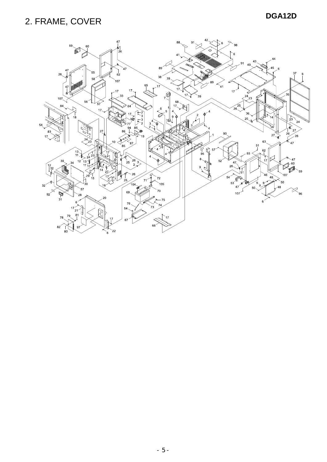### **DGA12D** 2. FRAME, COVER

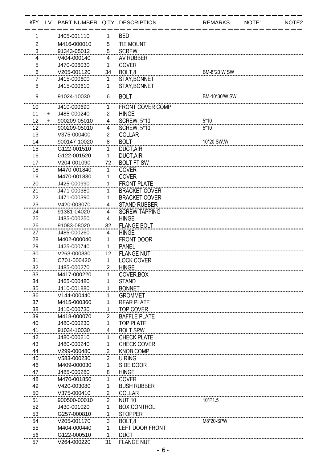| KEY LV         |           | PART NUMBER Q'TY DESCRIPTION |                |                         | <b>REMARKS</b> | NOTE <sub>1</sub> | NOTE <sub>2</sub> |
|----------------|-----------|------------------------------|----------------|-------------------------|----------------|-------------------|-------------------|
| 1              |           | J405-001110                  | 1              | <b>BED</b>              |                |                   |                   |
| $\overline{2}$ |           | M416-000010                  | 5              | <b>TIE MOUNT</b>        |                |                   |                   |
| 3              |           | 91343-05012                  | 5              | <b>SCREW</b>            |                |                   |                   |
| 4              |           | V404-000140                  | 4              | AV RUBBER               |                |                   |                   |
| 5              |           | J470-006030                  | 1              | <b>COVER</b>            |                |                   |                   |
| 6              |           | V205-001120                  | 34             | BOLT <sub>.8</sub>      | BM-8*20 W SW   |                   |                   |
| 7              |           | J415-000600                  | 1              | STAY, BONNET            |                |                   |                   |
| 8              |           | J415-000610                  | 1              | STAY, BONNET            |                |                   |                   |
| 9              |           | 91024-10030                  | 6              | <b>BOLT</b>             | BM-10*30/W,SW  |                   |                   |
| 10             |           | J410-000690                  | 1              | <b>FRONT COVER COMP</b> |                |                   |                   |
| 11             | $\ddot{}$ | J485-000240                  | $\overline{2}$ | <b>HINGE</b>            |                |                   |                   |
| 12             | $\ddot{}$ | 900209-05010                 | 4              | <b>SCREW, 5*10</b>      | $5*10$         |                   |                   |
| 12             |           | 900209-05010                 | $\overline{4}$ | <b>SCREW, 5*10</b>      | $5*10$         |                   |                   |
| 13             |           | V375-000400                  | $\overline{2}$ | <b>COLLAR</b>           |                |                   |                   |
| 14             |           | 900147-10020                 | 8              | <b>BOLT</b>             | 10*20 SW, W    |                   |                   |
| 15             |           | G122-001510                  | 1              | DUCT, AIR               |                |                   |                   |
| 16             |           | G122-001520                  | 1              | <b>DUCT, AIR</b>        |                |                   |                   |
| 17             |           | V204-001090                  | 72             | <b>BOLT FT SW</b>       |                |                   |                   |
| 18             |           | M470-001840                  | 1              | <b>COVER</b>            |                |                   |                   |
| 19             |           | M470-001830                  | 1              | <b>COVER</b>            |                |                   |                   |
| 20             |           | J425-000990                  | 1              | <b>FRONT PLATE</b>      |                |                   |                   |
| 21             |           | J471-000380                  | 1              | <b>BRACKET,COVER</b>    |                |                   |                   |
| 22             |           | J471-000390                  | 1              | <b>BRACKET,COVER</b>    |                |                   |                   |
| 23             |           | V420-003070                  | 4              | <b>STAND RUBBER</b>     |                |                   |                   |
| 24             |           | 91381-04020                  | 4              | <b>SCREW TAPPING</b>    |                |                   |                   |
| 25             |           | J485-000250                  | 4              | <b>HINGE</b>            |                |                   |                   |
| 26             |           | 91083-08020                  | 32             | <b>FLANGE BOLT</b>      |                |                   |                   |
| 27             |           | J485-000260                  | 4              | <b>HINGE</b>            |                |                   |                   |
| 28             |           | M402-000040                  | 1              | <b>FRONT DOOR</b>       |                |                   |                   |
| 29             |           | J425-000740                  | 1              | <b>PANEL</b>            |                |                   |                   |
| 30             |           | V263-000330                  | 12             | <b>FLANGE NUT</b>       |                |                   |                   |
| 31             |           | C701-000420                  | $\mathbf{1}$   | <b>LOCK COVER</b>       |                |                   |                   |
| 32             |           | J485-000270                  | 2              | <b>HINGE</b>            |                |                   |                   |
| 33             |           | M417-000220                  | 1              | COVER, BOX              |                |                   |                   |
| 34             |           | J465-000480                  | 1              | <b>STAND</b>            |                |                   |                   |
| 35             |           | J410-001880                  | 1              | <b>BONNET</b>           |                |                   |                   |
| 36             |           | V144-000440                  | 1              | <b>GROMMET</b>          |                |                   |                   |
| 37             |           | M415-000360                  | 1              | <b>REAR PLATE</b>       |                |                   |                   |
| 38             |           | J410-000730                  | 1              | <b>TOP COVER</b>        |                |                   |                   |
| 39             |           | M418-000070                  | $\overline{2}$ | <b>BAFFLE PLATE</b>     |                |                   |                   |
| 40             |           | J480-000230                  | 1              | <b>TOP PLATE</b>        |                |                   |                   |
| 41             |           | 91034-10030                  | 4              | <b>BOLT SPW</b>         |                |                   |                   |
| 42             |           | J480-000210                  | 1              | <b>CHECK PLATE</b>      |                |                   |                   |
| 43             |           | J480-000240                  | 1              | <b>CHECK COVER</b>      |                |                   |                   |
| 44             |           | V299-000480                  | 2              | <b>KNOB COMP</b>        |                |                   |                   |
| 45             |           | V583-000230                  | $\overline{2}$ | <b>U RING</b>           |                |                   |                   |
| 46             |           | M409-000030                  | 1              | SIDE DOOR               |                |                   |                   |
| 47             |           | J485-000280                  | 8              | <b>HINGE</b>            |                |                   |                   |
| 48             |           | M470-001850                  | 1              | <b>COVER</b>            |                |                   |                   |
| 49             |           | V420-003080                  | 1              | <b>BUSH RUBBER</b>      |                |                   |                   |
| 50             |           | V375-000410                  | $\frac{2}{2}$  | <b>COLLAR</b>           |                |                   |                   |
| 51             |           | 900500-00010                 | $\overline{2}$ | <b>NUT 10</b>           | 10*P1.5        |                   |                   |
| 52             |           | J430-001020                  | 1              | BOX, CONTROL            |                |                   |                   |
| 53             |           | G257-000810                  | 1              | <b>STOPPER</b>          |                |                   |                   |
| 54             |           | V205-001170                  | 3              | BOLT,8                  | M8*20-SPW      |                   |                   |
| 55             |           | M404-000440                  | 1              | <b>LEFT DOOR FRONT</b>  |                |                   |                   |
| 56             |           | G122-000510                  | 1              | <b>DUCT</b>             |                |                   |                   |
| 57             |           | V264-000220                  | 31             | <b>FLANGE NUT</b>       |                |                   |                   |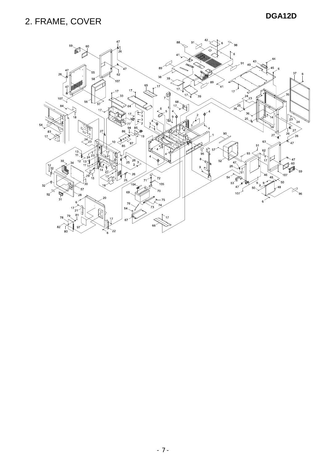### **DGA12D** 2. FRAME, COVER

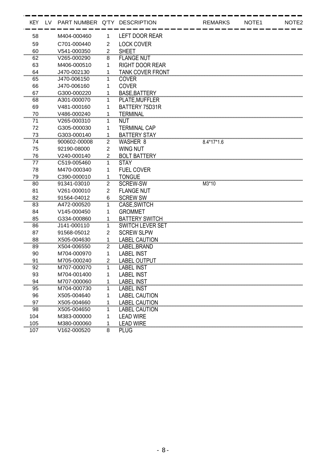| KEY LV | PART NUMBER Q'TY DESCRIPTION |                |                         | <b>REMARKS</b> | NOTE1 | NOTE <sub>2</sub> |
|--------|------------------------------|----------------|-------------------------|----------------|-------|-------------------|
| 58     | M404-000460                  | 1              | <b>LEFT DOOR REAR</b>   |                |       |                   |
| 59     | C701-000440                  | $\overline{2}$ | <b>LOCK COVER</b>       |                |       |                   |
| 60     | V541-000350                  | 2              | <b>SHEET</b>            |                |       |                   |
| 62     | V265-000290                  | 8              | <b>FLANGE NUT</b>       |                |       |                   |
| 63     | M406-000510                  | 1              | <b>RIGHT DOOR REAR</b>  |                |       |                   |
| 64     | J470-002130                  |                | <b>TANK COVER FRONT</b> |                |       |                   |
| 65     | J470-006150                  | 1              | <b>COVER</b>            |                |       |                   |
| 66     | J470-006160                  | 1              | <b>COVER</b>            |                |       |                   |
| 67     | G300-000220                  | 1              | <b>BASE, BATTERY</b>    |                |       |                   |
| 68     | A301-000070                  | 1              | PLATE, MUFFLER          |                |       |                   |
| 69     | V481-000160                  | 1              | BATTERY 75D31R          |                |       |                   |
| 70     | V486-000240                  |                | <b>TERMINAL</b>         |                |       |                   |
| 71     | V265-000310                  | 1              | NUT                     |                |       |                   |
| 72     | G305-000030                  | 1              | <b>TERMINAL CAP</b>     |                |       |                   |
| 73     | G303-000140                  | 1              | <b>BATTERY STAY</b>     |                |       |                   |
| 74     | 900602-00008                 | $\overline{2}$ | WASHER 8                | $8.4*17*1.6$   |       |                   |
| 75     | 92190-08000                  | $\overline{2}$ | <b>WING NUT</b>         |                |       |                   |
| 76     | V240-000140                  | $\overline{2}$ | <b>BOLT BATTERY</b>     |                |       |                   |
| 77     | C519-005460                  | 1              | <b>STAY</b>             |                |       |                   |
| 78     | M470-000340                  | 1              | <b>FUEL COVER</b>       |                |       |                   |
| 79     | C390-000010                  | 1              | <b>TONGUE</b>           |                |       |                   |
| 80     | 91341-03010                  | $\overline{2}$ | <b>SCREW-SW</b>         | M3*10          |       |                   |
| 81     | V261-000010                  | $\overline{2}$ | <b>FLANGE NUT</b>       |                |       |                   |
| 82     | 91564-04012                  | 6              | <b>SCREW SW</b>         |                |       |                   |
| 83     | A472-000520                  | 1              | CASE, SWITCH            |                |       |                   |
| 84     | V145-000450                  | 1              | <b>GROMMET</b>          |                |       |                   |
| 85     | G334-000860                  | 1              | <b>BATTERY SWITCH</b>   |                |       |                   |
| 86     | J141-000110                  | 1              | <b>SWITCH LEVER SET</b> |                |       |                   |
| 87     | 91568-05012                  | $\overline{2}$ | <b>SCREW SLPW</b>       |                |       |                   |
| 88     | X505-004630                  | 1              | <b>LABEL CAUTION</b>    |                |       |                   |
| 89     | X504-006550                  | 2              | LABEL, BRAND            |                |       |                   |
| 90     | M704-000970                  | 1              | <b>LABEL INST</b>       |                |       |                   |
| 91     | M705-000240                  | 2              | <b>LABEL OUTPUT</b>     |                |       |                   |
| 92     | M707-000070                  | 1              | <b>LABEL INST</b>       |                |       |                   |
| 93     | M704-001400                  |                | <b>LABEL INST</b>       |                |       |                   |
| 94     | M707-000060                  |                | <b>LABEL INST</b>       |                |       |                   |
| 95     | M704-000730                  |                | <b>LABEL INST</b>       |                |       |                   |
| 96     | X505-004640                  |                | <b>LABEL CAUTION</b>    |                |       |                   |
| 97     | X505-004660                  |                | <b>LABEL CAUTION</b>    |                |       |                   |
| 98     | X505-004650                  | 1              | <b>LABEL CAUTION</b>    |                |       |                   |
| 104    | M383-000000                  | 1              | <b>LEAD WIRE</b>        |                |       |                   |
| 105    | M380-000060                  | 1              | <b>LEAD WIRE</b>        |                |       |                   |
| 107    | V162-000520                  | 8              | <b>PLUG</b>             |                |       |                   |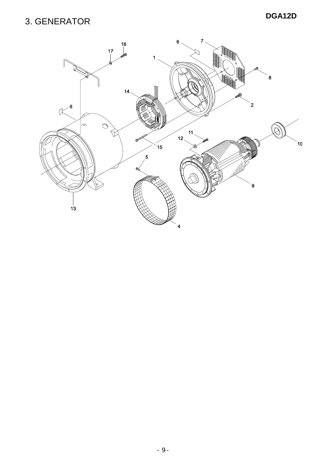#### **DGA12D** 3. GENERATOR

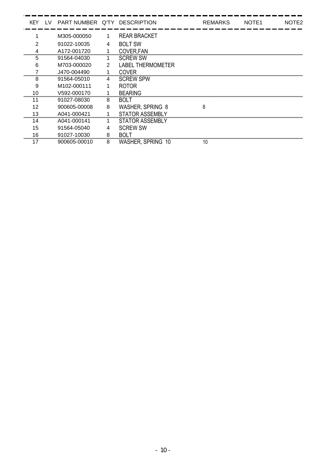| KEY. | LV. | PART NUMBER Q'TY DESCRIPTION |   |                          | <b>REMARKS</b> | NOTE <sub>1</sub> | NOTE <sub>2</sub> |
|------|-----|------------------------------|---|--------------------------|----------------|-------------------|-------------------|
|      |     | M305-000050                  | 1 | <b>REAR BRACKET</b>      |                |                   |                   |
| 2    |     | 91022-10035                  | 4 | <b>BOLT SW</b>           |                |                   |                   |
|      |     | A172-001720                  |   | COVER, FAN               |                |                   |                   |
| 5    |     | 91564-04030                  |   | <b>SCREW SW</b>          |                |                   |                   |
| 6    |     | M703-000020                  | 2 | <b>LABEL THERMOMETER</b> |                |                   |                   |
|      |     | J470-004490                  |   | <b>COVER</b>             |                |                   |                   |
| 8    |     | 91564-05010                  | 4 | <b>SCREW SPW</b>         |                |                   |                   |
| 9    |     | M102-000111                  |   | <b>ROTOR</b>             |                |                   |                   |
|      |     | V592-000170                  |   | <b>BEARING</b>           |                |                   |                   |
| 11   |     | 91027-08030                  | 8 | BOL T                    |                |                   |                   |
| 12   |     | 900605-00008                 | 8 | <b>WASHER, SPRING 8</b>  | 8              |                   |                   |
| 13   |     | A041-000421                  |   | <b>STATOR ASSEMBLY</b>   |                |                   |                   |
| 14   |     | A041-000141                  |   | STATOR ASSEMBLY          |                |                   |                   |
| 15   |     | 91564-05040                  |   | <b>SCREW SW</b>          |                |                   |                   |
| 16   |     | 91027-10030                  | 8 | <b>BOLT</b>              |                |                   |                   |
| 17   |     | 900605-00010                 | 8 | WASHER, SPRING 10        |                |                   |                   |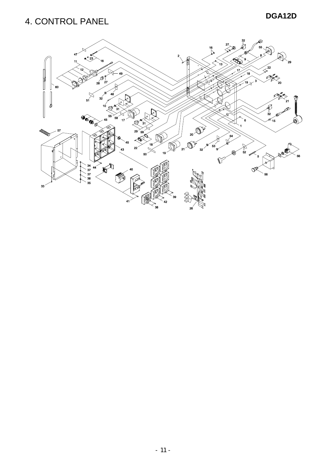#### **DGA12D** 4. CONTROL PANEL

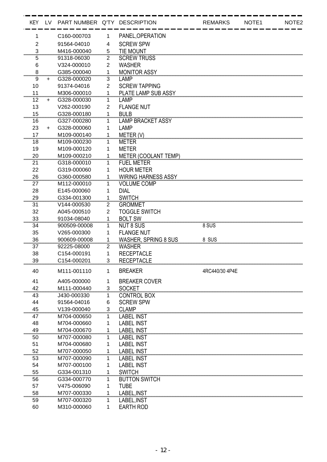|                              |           | KEY LV PART NUMBER Q'TY DESCRIPTION |                |                            | <b>REMARKS</b> | NOTE1 | NOTE <sub>2</sub> |
|------------------------------|-----------|-------------------------------------|----------------|----------------------------|----------------|-------|-------------------|
| 1                            |           | C160-000703                         | 1              | PANEL, OPERATION           |                |       |                   |
| $\overline{2}$               |           | 91564-04010                         | 4              | <b>SCREW SPW</b>           |                |       |                   |
| 3                            |           | M416-000040                         | 5              | <b>TIE MOUNT</b>           |                |       |                   |
| 5                            |           | 91318-06030                         | 2              | <b>SCREW TRUSS</b>         |                |       |                   |
| 6                            |           | V324-000010                         | 2              | <b>WASHER</b>              |                |       |                   |
| 8                            |           | G385-000040                         | 1              | <b>MONITOR ASSY</b>        |                |       |                   |
| 9                            | $+$       | G328-000020                         | 3              | <b>LAMP</b>                |                |       |                   |
| 10                           |           | 91374-04016                         | $\overline{2}$ | <b>SCREW TAPPING</b>       |                |       |                   |
| 11                           |           | M306-000010                         | 1              | PLATE LAMP SUB ASSY        |                |       |                   |
| 12                           | $\ddot{}$ | G328-000030                         | 1              | LAMP                       |                |       |                   |
| 13                           |           | V262-000190                         | $\overline{2}$ | <b>FLANGE NUT</b>          |                |       |                   |
| 15                           |           | G328-000180                         | 1              | <b>BULB</b>                |                |       |                   |
| 16                           |           | G327-000280                         | 1              | <b>LAMP BRACKET ASSY</b>   |                |       |                   |
| 23                           | $\ddot{}$ | G328-000060                         | 1              | LAMP                       |                |       |                   |
| 17                           |           | M109-000140                         | 1              | METER (V)                  |                |       |                   |
| 18                           |           | M109-000230                         | 1              | <b>METER</b>               |                |       |                   |
| 19                           |           | M109-000120                         | 1              | <b>METER</b>               |                |       |                   |
| 20                           |           | M109-000210                         | 1              | METER (COOLANT TEMP)       |                |       |                   |
| 21                           |           | G318-000010                         | 1              | <b>FUEL METER</b>          |                |       |                   |
| 22                           |           | G319-000060                         | 1              | <b>HOUR METER</b>          |                |       |                   |
| 26                           |           | G360-000580                         | 1              | <b>WIRING HARNESS ASSY</b> |                |       |                   |
| 27                           |           | M112-000010                         | 1              | <b>VOLUME COMP</b>         |                |       |                   |
| 28                           |           | E145-000060                         | 1              | <b>DIAL</b>                |                |       |                   |
| 29                           |           | G334-001300                         |                | <b>SWITCH</b>              |                |       |                   |
| 31                           |           | V144-000530                         | 2              | <b>GROMMET</b>             |                |       |                   |
| 32                           |           | A045-000510                         | $\overline{2}$ | <b>TOGGLE SWITCH</b>       |                |       |                   |
| 33                           |           | 91034-08040                         | 1              | <b>BOLT SW</b>             |                |       |                   |
| 34                           |           | 900509-00008                        | 1              | <b>NUT 8 SUS</b>           | 8 SUS          |       |                   |
| 35                           |           | V265-000300                         | 1              | <b>FLANGE NUT</b>          |                |       |                   |
| 36                           |           | 900609-00008                        | 1              | WASHER, SPRING 8 SUS       | 8 SUS          |       |                   |
| 37                           |           | 92225-08000                         | 2              | <b>WASHER</b>              |                |       |                   |
| 38                           |           | C154-000191                         | 1              | <b>RECEPTACLE</b>          |                |       |                   |
| 39                           |           | C154-000201                         | 3              | <b>RECEPTACLE</b>          |                |       |                   |
| 40                           |           | M111-001110                         | $\mathbf{1}$   | <b>BREAKER</b>             | 4RC440/30 4P4E |       |                   |
|                              |           |                                     |                |                            |                |       |                   |
| 41                           |           | A405-000000                         | 1              | <b>BREAKER COVER</b>       |                |       |                   |
| 42<br>,,,,,,,,,,,,,,,,,,,,,, |           | M111-000440                         | 3              | <b>SOCKET</b>              |                |       |                   |
| 43                           |           | J430-000330                         | 1              | <b>CONTROL BOX</b>         |                |       |                   |
| 44                           |           | 91564-04016                         | 6              | <b>SCREW SPW</b>           |                |       |                   |
| 45                           |           | V139-000040                         | 3              | <b>CLAMP</b>               |                |       |                   |
| 47                           |           | M704-000650                         | 1              | <b>LABEL INST</b>          |                |       |                   |
| 48                           |           | M704-000660                         | 1              | <b>LABEL INST</b>          |                |       |                   |
| 49                           |           | M704-000670                         | 1              | <b>LABEL INST</b>          |                |       |                   |
| 50                           |           | M707-000080                         | 1              | <b>LABEL INST</b>          |                |       |                   |
| 51                           |           | M704-000680                         | 1              | <b>LABEL INST</b>          |                |       |                   |
| 52                           |           | M707-000050                         | 1              | <b>LABEL INST</b>          |                |       |                   |
| 53                           |           | M707-000090                         | 1              | <b>LABEL INST</b>          |                |       |                   |
| 54                           |           | M707-000100                         |                | <b>LABEL INST</b>          |                |       |                   |
| 55                           |           | G334-001310                         | 1              | <b>SWITCH</b>              |                |       |                   |
| 56                           |           | G334-000770                         | 1              | <b>BUTTON SWITCH</b>       |                |       |                   |
| 57                           |           | V475-006090                         | 1              | <b>TUBE</b>                |                |       |                   |
| 58                           |           | M707-000330                         | 1              | LABEL, INST                |                |       |                   |
| 59                           |           | M707-000320                         | 1              | LABEL, INST                |                |       |                   |
| 60                           |           | M310-000060                         | 1              | <b>EARTH ROD</b>           |                |       |                   |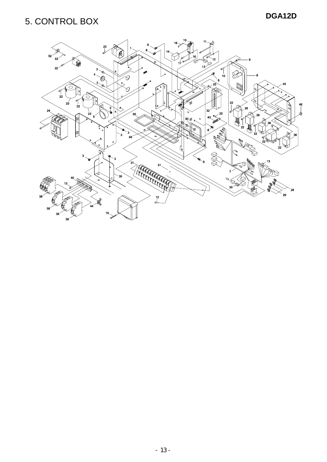#### **DGA12D** 5. CONTROL BOX

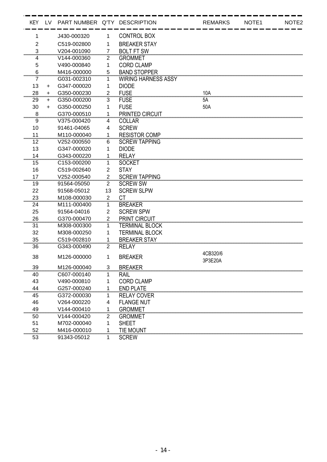| <b>KEY</b>                    | <b>LV</b> | PART NUMBER Q'TY DESCRIPTION |                |                            | <b>REMARKS</b>      | NOTE <sub>1</sub> | NOTE <sub>2</sub> |
|-------------------------------|-----------|------------------------------|----------------|----------------------------|---------------------|-------------------|-------------------|
| 1                             |           | J430-000320                  | 1              | <b>CONTROL BOX</b>         |                     |                   |                   |
| $\overline{2}$                |           | C519-002800                  | 1              | <b>BREAKER STAY</b>        |                     |                   |                   |
| 3                             |           | V204-001090                  | $\overline{7}$ | <b>BOLT FT SW</b>          |                     |                   |                   |
| 4                             |           | V144-000360                  | 2              | <b>GROMMET</b>             |                     |                   |                   |
| 5                             |           | V490-000840                  | 1              | <b>CORD CLAMP</b>          |                     |                   |                   |
| 6                             |           | M416-000000                  | 5              | <b>BAND STOPPER</b>        |                     |                   |                   |
| 7                             |           | G031-002310                  | 1              | <b>WIRING HARNESS ASSY</b> |                     |                   |                   |
| 13                            | $\ddot{}$ | G347-000020                  | 1              | <b>DIODE</b>               |                     |                   |                   |
| 28                            | $+$       | G350-000230                  | $\overline{2}$ | <b>FUSE</b>                | 10A                 |                   |                   |
| 29                            | $\ddot{}$ | G350-000200                  | 3              | <b>FUSE</b>                | 5A                  |                   |                   |
| 30                            | $+$       | G350-000250                  | 1              | <b>FUSE</b>                | 50A                 |                   |                   |
| 8                             |           | G370-000510                  |                | PRINTED CIRCUIT            |                     |                   |                   |
| ,,,,,,,,,,,,,,<br>9           |           | V375-000420                  | 4              | <b>COLLAR</b>              |                     |                   |                   |
| 10                            |           | 91461-04065                  | 4              | <b>SCREW</b>               |                     |                   |                   |
| 11                            |           | M110-000040                  | 1              | <b>RESISTOR COMP</b>       |                     |                   |                   |
| 12                            |           | V252-000550                  | 6              | <b>SCREW TAPPING</b>       |                     |                   |                   |
| 13                            |           | G347-000020                  | 1              | <b>DIODE</b>               |                     |                   |                   |
| 14                            |           | G343-000220                  | 1              | <b>RELAY</b>               |                     |                   |                   |
| 15                            |           | C <sub>153</sub> -000200     | 1              | <b>SOCKET</b>              |                     |                   |                   |
| 16                            |           | C519-002640                  | $\overline{2}$ | <b>STAY</b>                |                     |                   |                   |
| 17                            |           | V252-000540                  | $\overline{2}$ | <b>SCREW TAPPING</b>       |                     |                   |                   |
| 19                            |           | 91564-05050                  | 2              | <b>SCREW SW</b>            |                     |                   |                   |
| 22                            |           | 91568-05012                  | 13             | <b>SCREW SLPW</b>          |                     |                   |                   |
| 23                            |           | M108-000030                  | $\overline{2}$ | <b>CT</b>                  |                     |                   |                   |
| 24                            |           | M111-000400                  | 1              | <b>BREAKER</b>             |                     |                   |                   |
| 25                            |           | 91564-04016                  | $\overline{2}$ | <b>SCREW SPW</b>           |                     |                   |                   |
| 26                            |           | G370-000470                  | $\overline{2}$ | <b>PRINT CIRCUIT</b>       |                     |                   |                   |
| 31                            |           | M308-000300                  | 1              | <b>TERMINAL BLOCK</b>      |                     |                   |                   |
| 32                            |           | M308-000250                  | 1              | <b>TERMINAL BLOCK</b>      |                     |                   |                   |
| 35                            |           | C519-002810                  | 1              | <b>BREAKER STAY</b>        |                     |                   |                   |
| 36                            |           | G343-000490                  | 2              | <b>RELAY</b>               |                     |                   |                   |
| 38                            |           | M126-000000                  | 1              | <b>BREAKER</b>             | 4CB320/6<br>3P3E20A |                   |                   |
| 39                            |           | M126-000040                  | 3              | <b>BREAKER</b>             |                     |                   |                   |
| 40                            |           | C607-000140                  |                | RAIL                       |                     |                   |                   |
| 43                            |           | V490-000810                  |                | <b>CORD CLAMP</b>          |                     |                   |                   |
| 44                            |           | G257-000240                  |                | <b>END PLATE</b>           |                     |                   |                   |
| ,,,,,,,,,,,,,,,,,,,,,,,<br>45 |           | G372-000030                  | 1              | <b>RELAY COVER</b>         |                     |                   |                   |
| 46                            |           | V264-000220                  | 4              | <b>FLANGE NUT</b>          |                     |                   |                   |
| 49                            |           | V144-000410                  | 1              | <b>GROMMET</b>             |                     |                   |                   |
| 50                            |           | V144-000420                  | $\overline{2}$ | <b>GROMMET</b>             |                     |                   |                   |
| 51                            |           | M702-000040                  | 1              | <b>SHEET</b>               |                     |                   |                   |
| 52                            |           | M416-000010                  | 1              | <b>TIE MOUNT</b>           |                     |                   |                   |
| 53                            |           | 91343-05012                  | 1              | <b>SCREW</b>               |                     |                   |                   |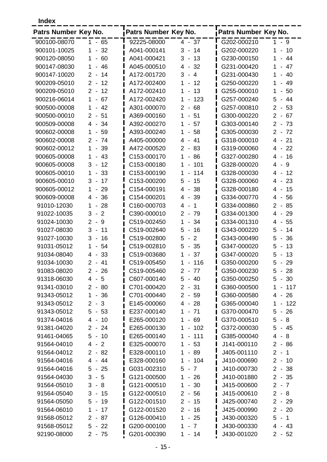**Index**

| Patrs Number Key No. |                                                  | Patrs Number Key No. |                                                                     | Patrs Number Key No. |                                                                 |
|----------------------|--------------------------------------------------|----------------------|---------------------------------------------------------------------|----------------------|-----------------------------------------------------------------|
| 900100-08070         | $1 - 65$                                         | 92225-08000          | $4 - 37$                                                            | G202-000210          | $1 - 9$                                                         |
| 900101-10025         | 32<br>1<br>$\blacksquare$                        | A041-000141          | 3<br>14<br>$\overline{\phantom{a}}$                                 | G202-000220          | 10<br>1<br>$\overline{\phantom{0}}$                             |
| 900120-08050         | $\mathbf{1}$<br>60<br>$\blacksquare$             | A041-000421          | 3<br>13<br>$\overline{\phantom{a}}$                                 | G230-000150          | 44<br>1<br>$\frac{1}{2}$                                        |
| 900147-08030         | 46<br>$\mathbf 1$<br>$\blacksquare$              | A045-000510          | -32<br>4<br>$\blacksquare$                                          | G231-000420          | 1<br>47<br>$\overline{\phantom{a}}$                             |
| 900147-10020         | $2 -$<br>14                                      | A172-001720          | 3<br>$\overline{4}$<br>$\overline{\phantom{a}}$                     | G231-000430          | 40<br>1<br>$\qquad \qquad \blacksquare$                         |
| 900209-05010         | $2 -$<br>12                                      | A172-002400          | 1<br>12<br>$\overline{\phantom{a}}$                                 | G250-000220          | 49<br>1<br>$\overline{\phantom{0}}$                             |
| 900209-05010         | 12<br>$2 -$                                      | A172-002410          | 13<br>1<br>$\overline{\phantom{a}}$                                 | G255-000010          | 1<br>50<br>$\blacksquare$                                       |
| 900216-06014         | $\mathbf{1}$<br>67<br>$\blacksquare$             | A172-002420          | 1<br>123<br>$\overline{\phantom{a}}$                                | G257-000240          | 5<br>44<br>$\overline{\phantom{a}}$                             |
| 900500-00008         | 42<br>$\mathbf 1$                                | A301-000070          | 68<br>$\overline{2}$<br>$\blacksquare$                              | G257-000810          | $2 -$<br>53                                                     |
| 900500-00010         | $\overline{2}$<br>51<br>$\blacksquare$           | A369-000160          | 1<br>51<br>$\overline{\phantom{a}}$                                 | G300-000220          | $\overline{2}$<br>67<br>$\sim$                                  |
| 900509-00008         | 34<br>4<br>$\overline{\phantom{a}}$              | A392-000270          | 57<br>1<br>$\overline{\phantom{a}}$                                 | G303-000140          | $\overline{2}$<br>73<br>$\overline{\phantom{a}}$                |
| 900602-00008         | 59<br>1<br>$\overline{\phantom{a}}$              | A393-000240          | 1<br>58<br>$\overline{\phantom{a}}$                                 | G305-000030          | $2 -$<br>72                                                     |
| 900602-00008         | $\overline{2}$<br>74<br>$\sim$                   | A405-000000          | 4<br>41<br>$\blacksquare$                                           | G318-000010          | 4 -<br>21                                                       |
| 900602-00012         | 1<br>39<br>$\blacksquare$                        | A472-000520          | 2<br>83<br>$\overline{\phantom{a}}$                                 | G319-000060          | 22<br>4<br>$\overline{\phantom{a}}$                             |
| 900605-00008         | 43<br>1<br>$\blacksquare$                        | C153-000170          | 86<br>1<br>$\overline{\phantom{a}}$                                 | G327-000280          | $\overline{4}$<br>16<br>$\overline{\phantom{a}}$                |
| 900605-00008         | 3<br>12<br>$\overline{\phantom{a}}$              | C153-000180          | 1<br>101<br>$\overline{\phantom{a}}$                                | G328-000020          | $\overline{4}$<br>9<br>$\blacksquare$                           |
| 900605-00010         | 33<br>1                                          | C153-000190          | 1<br>114                                                            | G328-000030          | 12<br>4<br>$\overline{\phantom{a}}$                             |
| 900605-00010         | 3<br>17<br>$\overline{\phantom{a}}$              | C153-000200          | 5<br>15<br>$\overline{\phantom{a}}$                                 | G328-000060          | 23<br>4<br>$\overline{\phantom{a}}$                             |
| 900605-00012         | 1<br>29                                          | C154-000191          | 38<br>4<br>$\blacksquare$                                           | G328-000180          | $\overline{4}$<br>15<br>$\overline{\phantom{a}}$                |
| 900609-00008         | 36                                               | C154-000201          | 39                                                                  | G334-000770          | 56                                                              |
| 91010-12030          | 4<br>$\blacksquare$<br>28<br>1<br>$\blacksquare$ | C160-000703          | 4<br>$\blacksquare$<br>4<br>$\mathbf 1$<br>$\overline{\phantom{a}}$ | G334-000860          | 4<br>$\overline{\phantom{a}}$<br>$\overline{2}$<br>85<br>$\sim$ |
|                      |                                                  |                      |                                                                     |                      |                                                                 |
| 91022-10035          | $\overline{2}$<br>3<br>$\blacksquare$            | C390-000010          | $\overline{2}$<br>79<br>$\overline{\phantom{a}}$                    | G334-001300          | 29<br>4<br>$\overline{\phantom{a}}$                             |
| 91024-10030          | $\overline{2}$<br>9<br>$\blacksquare$            | C519-002450          | 34<br>1<br>$\overline{a}$                                           | G334-001310          | 4<br>55<br>$\overline{\phantom{a}}$                             |
| 91027-08030          | 3<br>11<br>$\overline{\phantom{a}}$              | C519-002640          | 5<br>16<br>$\overline{\phantom{a}}$                                 | G343-000220          | 5<br>14<br>$\overline{\phantom{a}}$                             |
| 91027-10030          | 3<br>16<br>$\blacksquare$                        | C519-002800          | 5<br>$\overline{2}$<br>$\blacksquare$                               | G343-000490          | 5<br>36<br>$\overline{\phantom{a}}$                             |
| 91031-05012          | 54<br>1<br>$\overline{\phantom{a}}$              | C519-002810          | 5<br>$-35$                                                          | G347-000020          | 5<br>13<br>$\overline{\phantom{a}}$                             |
| 91034-08040          | 33<br>4<br>$\blacksquare$                        | C519-003680          | 37<br>1<br>$\overline{\phantom{a}}$                                 | G347-000020          | 5<br>13<br>$\overline{\phantom{a}}$                             |
| 91034-10030          | 41<br>$\overline{2}$<br>$\overline{\phantom{a}}$ | C519-005450          | 116<br>1                                                            | G350-000200          | 5<br>29<br>$\overline{\phantom{a}}$                             |
| 91083-08020          | $2 - 26$                                         | C519-005460          | $\overline{2}$<br>$-77$                                             | G350-000230          | 5<br>$-28$                                                      |
| 91318-06030          | 4 - 5                                            | C607-000140          | $5 - 40$                                                            | G350-000250          | $5 - 30$                                                        |
| 91341-03010          | $2 - 80$                                         | C701-000420          | $2 - 31$                                                            | G360-000500          | $-117$<br>1                                                     |
| 91343-05012          | $1 - 36$                                         | C701-000440          | $2 - 59$                                                            | G360-000580          | $4 - 26$                                                        |
| 91343-05012          | $2 - 3$                                          | E145-000060          | $4 - 28$                                                            | G365-000040          | 122<br>$1 -$                                                    |
| 91343-05012          | $5 - 53$                                         | E237-000140          | $-71$<br>1.                                                         | G370-000470          | $5 - 26$                                                        |
| 91374-04016          | $4 - 10$                                         | E265-000120          | $-69$<br>1                                                          | G370-000510          | $5 - 8$                                                         |
| 91381-04020          | $2 - 24$                                         | E265-000130          | $-102$<br>$\mathbf{1}$                                              | G372-000030          | $5 - 45$                                                        |
| 91461-04065          | 5<br>$-10$                                       | E265-000140          | 111<br>1<br>$\overline{\phantom{a}}$                                | G385-000040          | $4 - 8$                                                         |
| 91564-04010          | $4 - 2$                                          | E325-000070          | 1<br>$-53$                                                          | J141-000110          | $2 - 86$                                                        |
| 91564-04012          | $2 - 82$                                         | E328-000110          | $-89$<br>1                                                          | J405-001110          | $2 - 1$                                                         |
| 91564-04016          | $4 - 44$                                         | E328-000160          | $-104$<br>1                                                         | J410-000690          | $2 - 10$                                                        |
| 91564-04016          | 5<br>$-25$                                       | G031-002310          | $5 - 7$                                                             | J410-000730          | $2 - 38$                                                        |
| 91564-04030          | 3<br>$-5$                                        | G121-000500          | 1<br>$-26$                                                          | J410-001880          | $2 - 35$                                                        |
| 91564-05010          | 3<br>$-8$                                        | G121-000510          | $-30$<br>1                                                          | J415-000600          | $2 - 7$                                                         |
| 91564-05040          | 3<br>15<br>$\sim$                                | G122-000510          | $2 - 56$                                                            | J415-000610          | $2 - 8$                                                         |
| 91564-05050          | 19<br>5<br>$\sim$                                | G122-001510          | $2 - 15$                                                            | J425-000740          | $2 - 29$                                                        |
| 91564-06010          | 17<br>1<br>$\overline{\phantom{a}}$              | G122-001520          | $\mathbf{2}$<br>$-16$                                               | J425-000990          | $2 - 20$                                                        |
| 91568-05012          | $2 - 87$                                         | G126-000410          | 1<br>$-25$                                                          | J430-000320          | $5 - 1$                                                         |
| 91568-05012          | $5 - 22$                                         | G200-000100          | $-7$<br>1.                                                          | J430-000330          | 4 - 43                                                          |
| 92190-08000          | $2 - 75$                                         | G201-000390          | $1 - 14$                                                            | J430-001020          | $2 - 52$                                                        |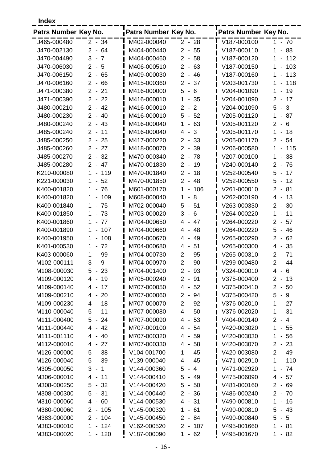**Index**

| Patrs Number Key No. |                                                  | Patrs Number Key No. |                                                    | Patrs Number Key No. |                                                  |
|----------------------|--------------------------------------------------|----------------------|----------------------------------------------------|----------------------|--------------------------------------------------|
| J465-000480          | $2 - 34$                                         | M402-000040          | $2 - 28$                                           | V187-000100          | $1 - 70$                                         |
| J470-002130          | $2 -$<br>64                                      | M404-000440          | $2 - 55$                                           | V187-000110          | 88<br>1<br>$\overline{\phantom{0}}$              |
| J470-004490          | $\overline{7}$<br>3<br>$\overline{\phantom{a}}$  | M404-000460          | 58<br>$\overline{2}$<br>$\overline{\phantom{a}}$   | V187-000120          | 112<br>1<br>$\blacksquare$                       |
| J470-006030          | $\overline{2}$<br>5<br>$\sim$                    | M406-000510          | $2 -$<br>63                                        | V187-000150          | 103<br>1<br>$\overline{a}$                       |
| J470-006150          | $\overline{2}$<br>65<br>$\sim$                   | M409-000030          | $\overline{2}$<br>-46<br>$\blacksquare$            | V187-000160          | 113<br>1                                         |
| J470-006160          | $\overline{2}$<br>66<br>$\blacksquare$           | M415-000360          | $\overline{2}$<br>37<br>$\blacksquare$             | V203-001730          | 118<br>1<br>$\blacksquare$                       |
| J471-000380          | $\overline{2}$<br>21<br>$\blacksquare$           | M416-000000          | 5<br>6<br>$\overline{\phantom{a}}$                 | V204-001090          | 19<br>1<br>$\overline{a}$                        |
| J471-000390          | $\overline{2}$<br>22<br>$\overline{\phantom{a}}$ | M416-000010          | 1<br>35<br>$\overline{\phantom{a}}$                | V204-001090          | $\overline{2}$<br>17<br>$\overline{\phantom{a}}$ |
| J480-000210          | $\overline{2}$<br>42<br>$\blacksquare$           | M416-000010          | $\overline{2}$<br>$\overline{2}$<br>$\blacksquare$ | V204-001090          | 5<br>3<br>$\sim$                                 |
| J480-000230          | $\overline{2}$<br>40<br>$\blacksquare$           | M416-000010          | 5<br>52<br>$\overline{\phantom{a}}$                | V205-001120          | 87<br>$\mathbf 1$<br>$\blacksquare$              |
| J480-000240          | $\overline{2}$<br>43<br>$\overline{\phantom{a}}$ | M416-000040          | 63<br>1<br>$\overline{\phantom{0}}$                | V205-001120          | 6<br>2<br>$\sim$                                 |
| J485-000240          | $\overline{2}$<br>11<br>$\blacksquare$           | M416-000040          | 3<br>4<br>$\blacksquare$                           | V205-001170          | 1<br>18<br>$\blacksquare$                        |
| J485-000250          | $\overline{2}$<br>25<br>$\blacksquare$           | M417-000220          | $\overline{2}$<br>33<br>$\blacksquare$             | V205-001170          | 54<br>$\overline{2}$<br>$\sim$                   |
| J485-000260          | 2<br>27<br>$\blacksquare$                        | M418-000070          | $\overline{2}$<br>39<br>$\blacksquare$             | V206-000580          | $\mathbf 1$<br>115<br>$\overline{a}$             |
| J485-000270          | $\overline{2}$<br>32<br>$\blacksquare$           | M470-000340          | 78<br>$\overline{2}$<br>$\blacksquare$             | V207-000100          | 38<br>1<br>$\blacksquare$                        |
| J485-000280          | 47<br>$\overline{2}$<br>$\sim$                   | M470-001830          | 2<br>19<br>$\blacksquare$                          | V240-000140          | $\overline{2}$<br>76<br>$\overline{\phantom{a}}$ |
| K210-000080          | 1<br>119                                         | M470-001840          | $\overline{2}$<br>18<br>$\blacksquare$             | V252-000540          | 17<br>5<br>$\overline{\phantom{a}}$              |
| K221-000030          | 52<br>1                                          | M470-001850          | $\overline{2}$<br>48<br>$\overline{\phantom{a}}$   | V252-000550          | 5<br>12<br>$\overline{\phantom{a}}$              |
| K400-001820          | 76<br>1<br>$\overline{\phantom{a}}$              | M601-000170          | 1<br>106<br>$\overline{\phantom{0}}$               | V261-000010          | $\overline{2}$<br>81<br>$\blacksquare$           |
| K400-001820          | 109<br>1                                         | M608-000040          | 8<br>1<br>$\overline{\phantom{a}}$                 | V262-000190          | $\overline{4}$<br>13<br>$\overline{\phantom{a}}$ |
| K400-001840          | 75<br>$\mathbf 1$<br>$\overline{\phantom{a}}$    | M702-000040          | 5<br>51<br>$\overline{\phantom{a}}$                | V263-000330          | $\overline{2}$<br>30<br>$\overline{\phantom{a}}$ |
| K400-001850          | $\mathbf{1}$<br>73<br>$\overline{\phantom{a}}$   | M703-000020          | 3<br>6<br>$\overline{\phantom{a}}$                 | V264-000220          | $\mathbf{1}$<br>11<br>$\blacksquare$             |
| K400-001860          | 77<br>1<br>$\blacksquare$                        | M704-000650          | 4<br>$-47$                                         | V264-000220          | $\overline{2}$<br>57<br>$\overline{\phantom{a}}$ |
| K400-001890          | 107<br>1                                         | M704-000660          | $\overline{4}$<br>$-48$                            | V264-000220          | 5<br>46<br>$\sim$                                |
| K400-001950          | 108<br>1                                         | M704-000670          | $-49$<br>4                                         | V265-000290          | $\overline{2}$<br>62<br>$\overline{\phantom{a}}$ |
| K401-000530          | 72<br>1<br>-                                     | M704-000680          | 51<br>4<br>$\overline{\phantom{a}}$                | V265-000300          | 35<br>4 -                                        |
| K403-000060          | 99<br>1<br>$\overline{\phantom{a}}$              | M704-000730          | $\overline{2}$<br>95<br>$\overline{\phantom{a}}$   | V265-000310          | $2 -$<br>71                                      |
| M102-000111          | 3<br>9                                           | M704-000970          | 90<br>$\overline{2}$<br>$\overline{\phantom{a}}$   | V299-000480          | $\overline{2}$<br>44<br>$\overline{\phantom{a}}$ |
| M108-000030          | 5<br>$-23$                                       | M704-001400          | $2 - 93$                                           | V324-000010          | 6<br>4<br>$\sim$                                 |
| M109-000120          | 19<br>4 -                                        | M705-000240          | $2 - 91$                                           | V375-000400          | $2 - 13$                                         |
| M109-000140          | $4 - 17$                                         | M707-000050          | $4 - 52$                                           | V375-000410          | $2 - 50$                                         |
| M109-000210          | $4 - 20$                                         | M707-000060          | $2 - 94$                                           | V375-000420          | $5 -$<br>9                                       |
| M109-000230          | 18<br>4<br>$\sim$                                | M707-000070          | $2 - 92$                                           | V376-002010          | 27<br>1<br>$\blacksquare$                        |
| M110-000040          | 5<br>11<br>$\blacksquare$                        | M707-000080          | $4 - 50$                                           | V376-002020          | 31<br>1<br>$\blacksquare$                        |
| M111-000400          | 5<br>- 24                                        | M707-000090          | $4 - 53$                                           | V404-000140          | $2 - 4$                                          |
| M111-000440          | 4<br>- 42                                        | M707-000100          | 4 - 54                                             | V420-003020          | 1<br>$-55$                                       |
| M111-001110          | $-40$<br>4                                       | M707-000320          | 4 - 59                                             | V420-003030          | 56<br>1.<br>$\overline{\phantom{a}}$             |
| M112-000010          | $-27$<br>4                                       | M707-000330          | $-58$<br>4                                         | V420-003070          | $\overline{2}$<br>23<br>$\blacksquare$           |
| M126-000000          | $-38$<br>5                                       | V104-001700          | 1<br>- 45                                          | V420-003080          | $2 - 49$                                         |
| M126-000040          | 5<br>- 39                                        | V139-000040          | 4<br>- 45                                          | V471-002910          | 110<br>1<br>$\blacksquare$                       |
| M305-000050          | 3<br>1<br>$\blacksquare$                         | V144-000360          | 5<br>$-4$                                          | V471-002920          | 1<br>74<br>$\overline{\phantom{a}}$              |
| M306-000010          | 4<br>11<br>$\blacksquare$                        | V144-000410          | 5<br>$-49$                                         | V475-006090          | 4 -<br>57                                        |
| M308-000250          | 5<br>32<br>$\blacksquare$                        | V144-000420          | 5<br>$-50$                                         | V481-000160          | 2<br>69<br>$\blacksquare$                        |
| M308-000300          | 5<br>- 31                                        | V144-000440          | $\overline{2}$<br>$-36$                            | V486-000240          | 2 -<br>70                                        |
| M310-000060          | 4<br>60<br>$\blacksquare$                        | V144-000530          | $4 - 31$                                           | V490-000810          | 1<br>16<br>$\blacksquare$                        |
| M380-000060          | $2 -$<br>105                                     | V145-000320          | 1<br>$-61$                                         | V490-000810          | 5<br>43<br>$\blacksquare$                        |
| M383-000000          | 104<br>$2 -$                                     | V145-000450          | $\overline{2}$<br>- 84                             | V490-000840          | 5<br>5<br>$\sim$                                 |
| M383-000010          | $-124$<br>1                                      | V162-000520          | $2 - 107$                                          | V495-001660          | 1<br>-81<br>$\blacksquare$                       |
| M383-000020          | $-120$<br>1.                                     | V187-000090          | $-62$<br>1                                         | V495-001670          | $1 - 82$                                         |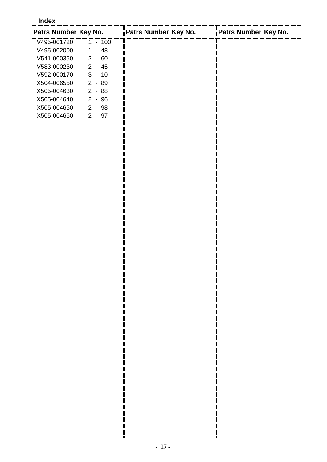#### **Index**

| Patrs Number Key No. |                       | Patrs Number Key No. | Patrs Number Key No. |
|----------------------|-----------------------|----------------------|----------------------|
| V495-001720          | $-100$                |                      |                      |
| V495-002000          | $-48$                 |                      |                      |
| V541-000350          | $2 - 60$              |                      |                      |
| V583-000230          | $2 - 45$              |                      |                      |
| V592-000170          | $3 - 10$              |                      |                      |
| X504-006550          | $2 - 89$              |                      |                      |
| X505-004630          | $2 - 88$              |                      |                      |
| X505-004640          | $2 - 96$              |                      |                      |
| X505-004650          | - 98<br>2             |                      |                      |
| X505-004660          | - 97<br>$\mathcal{P}$ |                      |                      |

П